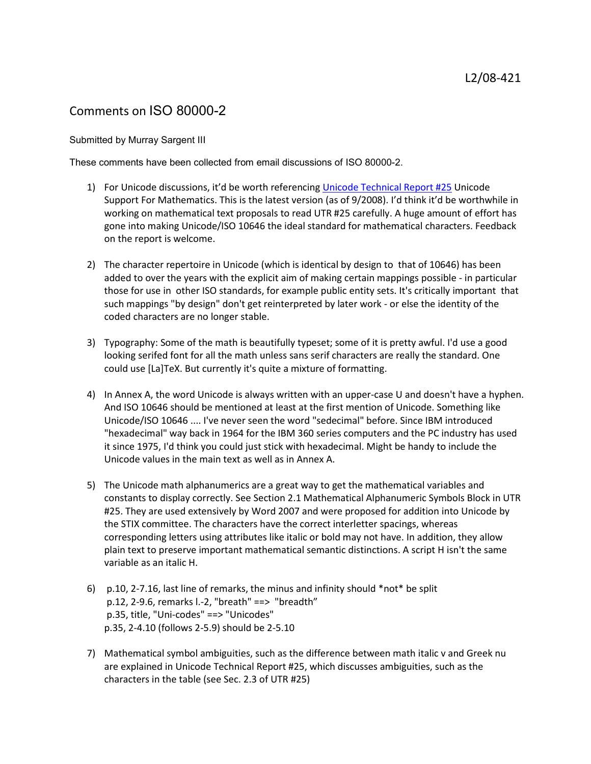## Comments on ISO 80000-2

## Submitted by Murray Sargent III

These comments have been collected from email discussions of ISO 80000-2.

- 1) For Unicode discussions, it'd be worth referencing [Unicode Technical Report #25](http://www.unicode.org/reports/tr25/) Unicode Support For Mathematics. This is the latest version (as of 9/2008). I'd think it'd be worthwhile in working on mathematical text proposals to read UTR #25 carefully. A huge amount of effort has gone into making Unicode/ISO 10646 the ideal standard for mathematical characters. Feedback on the report is welcome.
- 2) The character repertoire in Unicode (which is identical by design to that of 10646) has been added to over the years with the explicit aim of making certain mappings possible - in particular those for use in other ISO standards, for example public entity sets. It's critically important that such mappings "by design" don't get reinterpreted by later work - or else the identity of the coded characters are no longer stable.
- 3) Typography: Some of the math is beautifully typeset; some of it is pretty awful. I'd use a good looking serifed font for all the math unless sans serif characters are really the standard. One could use [La]TeX. But currently it's quite a mixture of formatting.
- 4) In Annex A, the word Unicode is always written with an upper-case U and doesn't have a hyphen. And ISO 10646 should be mentioned at least at the first mention of Unicode. Something like Unicode/ISO 10646 .... I've never seen the word "sedecimal" before. Since IBM introduced "hexadecimal" way back in 1964 for the IBM 360 series computers and the PC industry has used it since 1975, I'd think you could just stick with hexadecimal. Might be handy to include the Unicode values in the main text as well as in Annex A.
- 5) The Unicode math alphanumerics are a great way to get the mathematical variables and constants to display correctly. See Section 2.1 Mathematical Alphanumeric Symbols Block in UTR #25. They are used extensively by Word 2007 and were proposed for addition into Unicode by the STIX committee. The characters have the correct interletter spacings, whereas corresponding letters using attributes like italic or bold may not have. In addition, they allow plain text to preserve important mathematical semantic distinctions. A script H isn't the same variable as an italic H.
- 6) p.10, 2-7.16, last line of remarks, the minus and infinity should \*not\* be split p.12, 2-9.6, remarks l.-2, "breath" ==> "breadth" p.35, title, "Uni-codes" ==> "Unicodes" p.35, 2-4.10 (follows 2-5.9) should be 2-5.10
- 7) Mathematical symbol ambiguities, such as the difference between math italic v and Greek nu are explained in Unicode Technical Report #25, which discusses ambiguities, such as the characters in the table (see Sec. 2.3 of UTR #25)